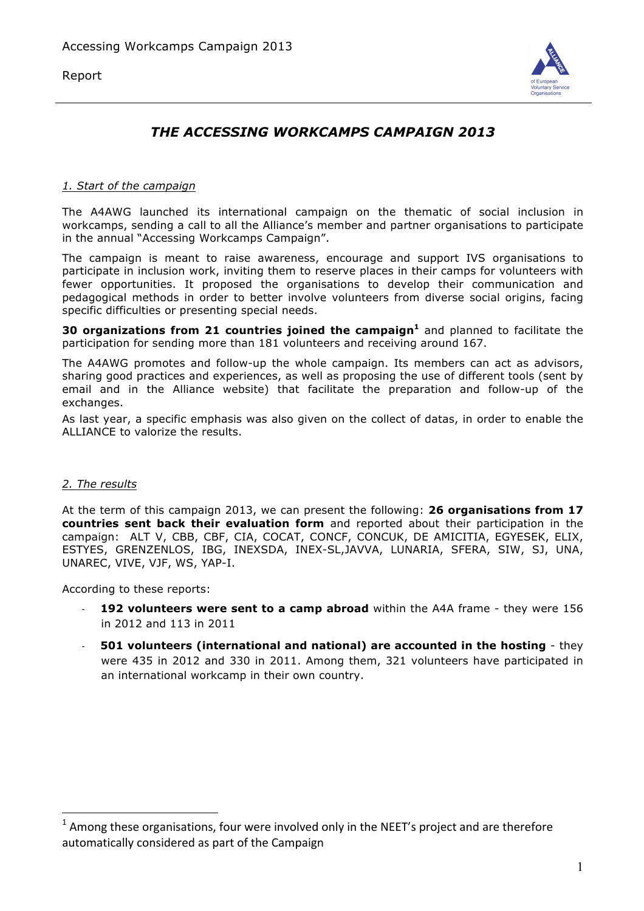Report



# *THE ACCESSING WORKCAMPS CAMPAIGN 2013*

#### *1. Start of the campaign*

The A4AWG launched its international campaign on the thematic of social inclusion in workcamps, sending a call to all the Alliance's member and partner organisations to participate in the annual "Accessing Workcamps Campaign".

The campaign is meant to raise awareness, encourage and support IVS organisations to participate in inclusion work, inviting them to reserve places in their camps for volunteers with fewer opportunities. It proposed the organisations to develop their communication and pedagogical methods in order to better involve volunteers from diverse social origins, facing specific difficulties or presenting special needs.

**30 organizations from 21 countries joined the campaign<sup>1</sup>** and planned to facilitate the participation for sending more than 181 volunteers and receiving around 167.

The A4AWG promotes and follow-up the whole campaign. Its members can act as advisors, sharing good practices and experiences, as well as proposing the use of different tools (sent by email and in the Alliance website) that facilitate the preparation and follow-up of the exchanges.

As last year, a specific emphasis was also given on the collect of datas, in order to enable the ALLIANCE to valorize the results.

#### *2. The results*

 $\overline{a}$ 

At the term of this campaign 2013, we can present the following: **26 organisations from 17 countries sent back their evaluation form** and reported about their participation in the campaign: ALT V, CBB, CBF, CIA, COCAT, CONCF, CONCUK, DE AMICITIA, EGYESEK, ELIX, ESTYES, GRENZENLOS, IBG, INEXSDA, INEX-SL,JAVVA, LUNARIA, SFERA, SIW, SJ, UNA, UNAREC, VIVE, VJF, WS, YAP-I.

According to these reports:

- **192 volunteers were sent to a camp abroad** within the A4A frame they were 156 in 2012 and 113 in 2011
- **501 volunteers (international and national) are accounted in the hosting** they were 435 in 2012 and 330 in 2011. Among them, 321 volunteers have participated in an international workcamp in their own country.

 $1$  Among these organisations, four were involved only in the NEET's project and are therefore automatically considered as part of the Campaign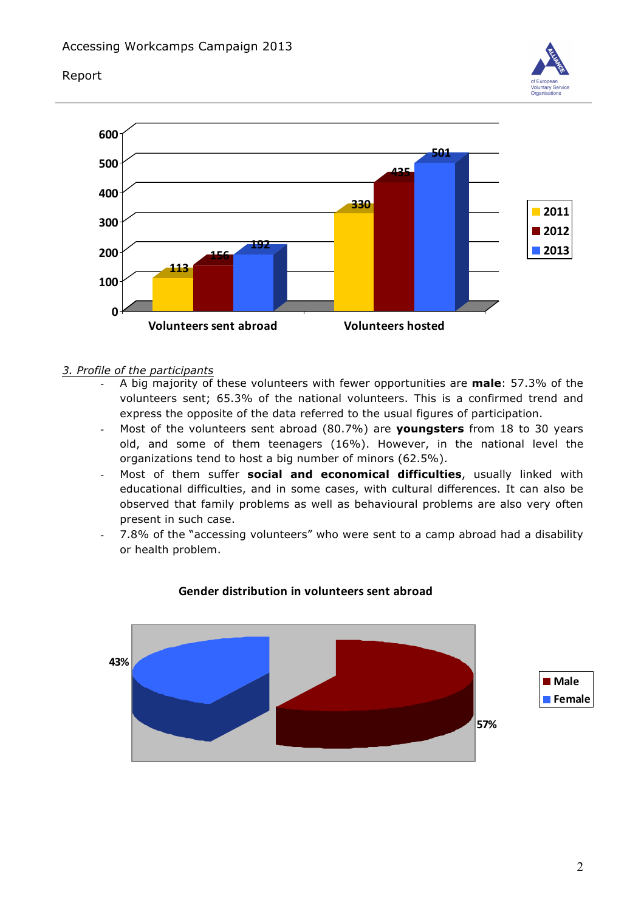## Report





- *3. Profile of the participants*
	- A big majority of these volunteers with fewer opportunities are **male**: 57.3% of the volunteers sent; 65.3% of the national volunteers. This is a confirmed trend and express the opposite of the data referred to the usual figures of participation.
	- Most of the volunteers sent abroad (80.7%) are **youngsters** from 18 to 30 years old, and some of them teenagers (16%). However, in the national level the organizations tend to host a big number of minors (62.5%).
	- Most of them suffer **social and economical difficulties**, usually linked with educational difficulties, and in some cases, with cultural differences. It can also be observed that family problems as well as behavioural problems are also very often present in such case.
	- 7.8% of the "accessing volunteers" who were sent to a camp abroad had a disability or health problem.



# **Gender distribution in volunteers sent abroad**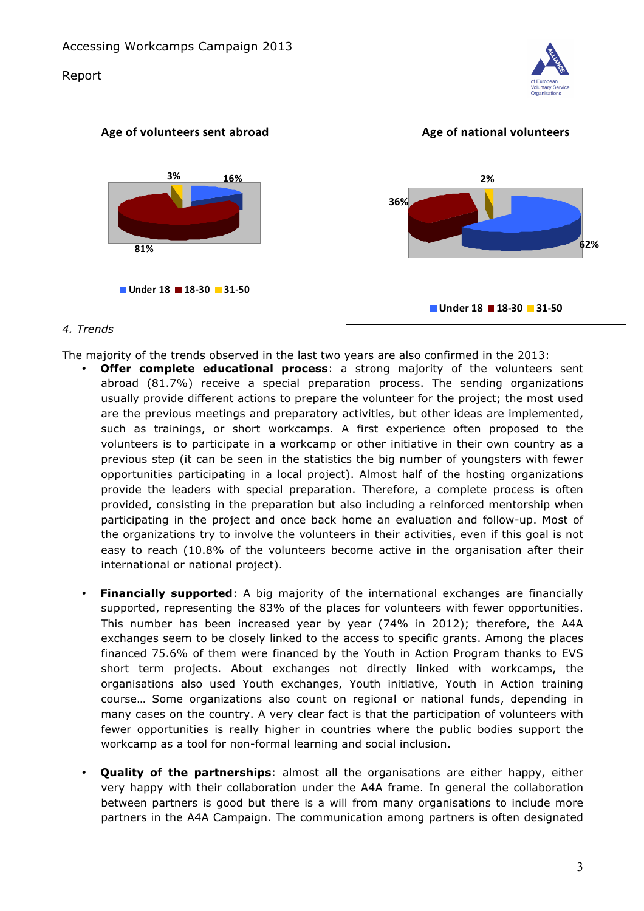



# *4. Trends*

The majority of the trends observed in the last two years are also confirmed in the 2013:

- **Offer complete educational process**: a strong majority of the volunteers sent abroad (81.7%) receive a special preparation process. The sending organizations usually provide different actions to prepare the volunteer for the project; the most used are the previous meetings and preparatory activities, but other ideas are implemented, such as trainings, or short workcamps. A first experience often proposed to the volunteers is to participate in a workcamp or other initiative in their own country as a previous step (it can be seen in the statistics the big number of youngsters with fewer opportunities participating in a local project). Almost half of the hosting organizations provide the leaders with special preparation. Therefore, a complete process is often provided, consisting in the preparation but also including a reinforced mentorship when participating in the project and once back home an evaluation and follow-up. Most of the organizations try to involve the volunteers in their activities, even if this goal is not easy to reach (10.8% of the volunteers become active in the organisation after their international or national project).
- **Financially supported**: A big majority of the international exchanges are financially supported, representing the 83% of the places for volunteers with fewer opportunities. This number has been increased year by year (74% in 2012); therefore, the A4A exchanges seem to be closely linked to the access to specific grants. Among the places financed 75.6% of them were financed by the Youth in Action Program thanks to EVS short term projects. About exchanges not directly linked with workcamps, the organisations also used Youth exchanges, Youth initiative, Youth in Action training course… Some organizations also count on regional or national funds, depending in many cases on the country. A very clear fact is that the participation of volunteers with fewer opportunities is really higher in countries where the public bodies support the workcamp as a tool for non-formal learning and social inclusion.
- **Quality of the partnerships**: almost all the organisations are either happy, either very happy with their collaboration under the A4A frame. In general the collaboration between partners is good but there is a will from many organisations to include more partners in the A4A Campaign. The communication among partners is often designated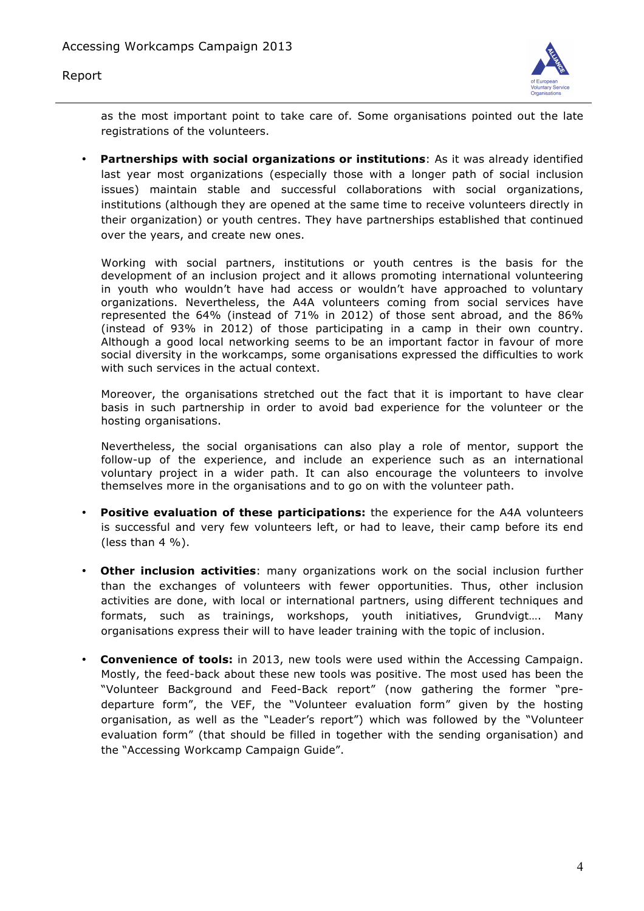



as the most important point to take care of. Some organisations pointed out the late registrations of the volunteers.

• **Partnerships with social organizations or institutions**: As it was already identified last year most organizations (especially those with a longer path of social inclusion issues) maintain stable and successful collaborations with social organizations, institutions (although they are opened at the same time to receive volunteers directly in their organization) or youth centres. They have partnerships established that continued over the years, and create new ones.

Working with social partners, institutions or youth centres is the basis for the development of an inclusion project and it allows promoting international volunteering in youth who wouldn't have had access or wouldn't have approached to voluntary organizations. Nevertheless, the A4A volunteers coming from social services have represented the 64% (instead of 71% in 2012) of those sent abroad, and the 86% (instead of 93% in 2012) of those participating in a camp in their own country. Although a good local networking seems to be an important factor in favour of more social diversity in the workcamps, some organisations expressed the difficulties to work with such services in the actual context.

Moreover, the organisations stretched out the fact that it is important to have clear basis in such partnership in order to avoid bad experience for the volunteer or the hosting organisations.

Nevertheless, the social organisations can also play a role of mentor, support the follow-up of the experience, and include an experience such as an international voluntary project in a wider path. It can also encourage the volunteers to involve themselves more in the organisations and to go on with the volunteer path.

- **Positive evaluation of these participations:** the experience for the A4A volunteers is successful and very few volunteers left, or had to leave, their camp before its end (less than  $4\%$ ).
- **Other inclusion activities**: many organizations work on the social inclusion further than the exchanges of volunteers with fewer opportunities. Thus, other inclusion activities are done, with local or international partners, using different techniques and formats, such as trainings, workshops, youth initiatives, Grundvigt…. Many organisations express their will to have leader training with the topic of inclusion.
- **Convenience of tools:** in 2013, new tools were used within the Accessing Campaign. Mostly, the feed-back about these new tools was positive. The most used has been the "Volunteer Background and Feed-Back report" (now gathering the former "predeparture form", the VEF, the "Volunteer evaluation form" given by the hosting organisation, as well as the "Leader's report") which was followed by the "Volunteer evaluation form" (that should be filled in together with the sending organisation) and the "Accessing Workcamp Campaign Guide".